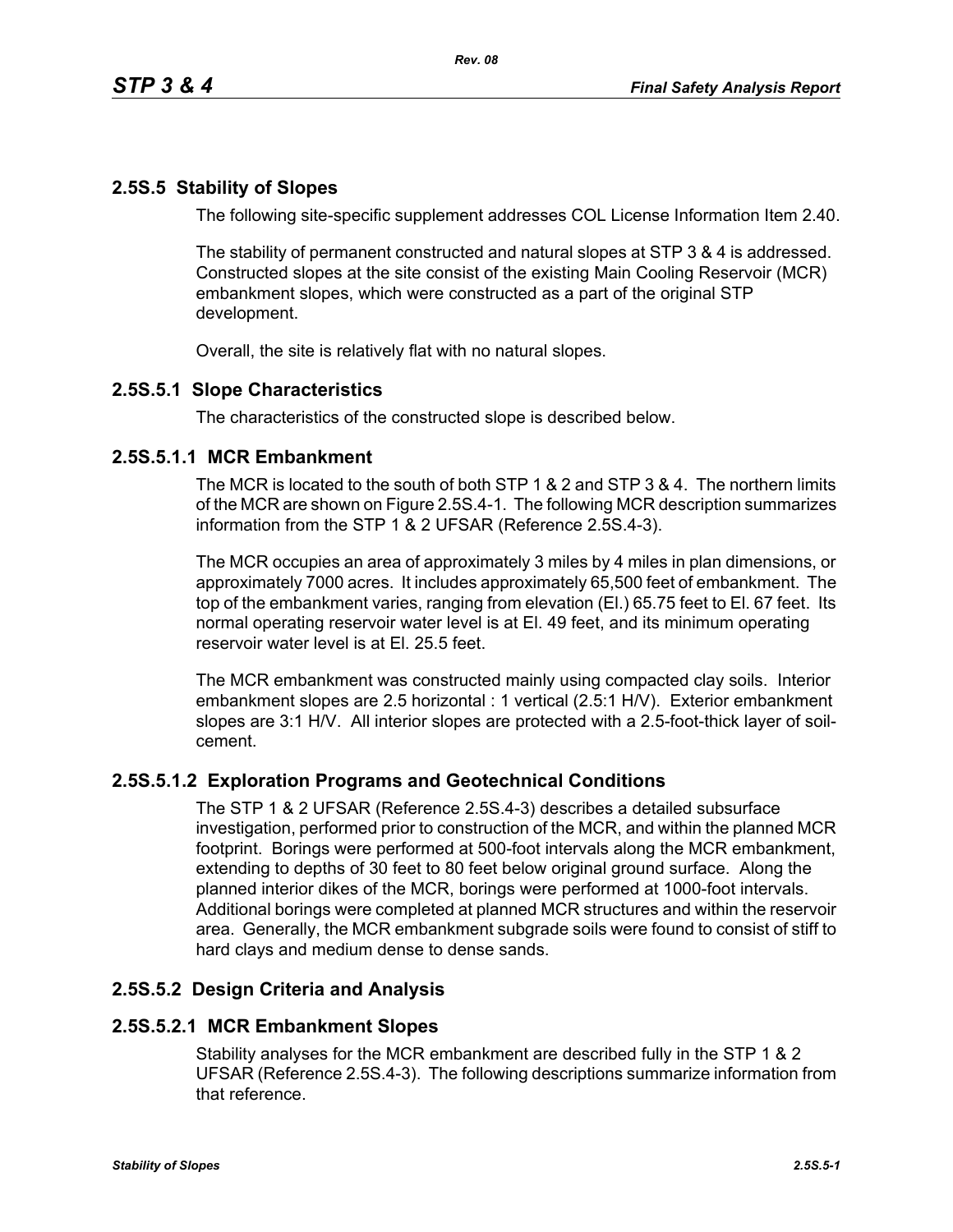# **2.5S.5 Stability of Slopes**

The following site-specific supplement addresses COL License Information Item 2.40.

The stability of permanent constructed and natural slopes at STP 3 & 4 is addressed. Constructed slopes at the site consist of the existing Main Cooling Reservoir (MCR) embankment slopes, which were constructed as a part of the original STP development.

Overall, the site is relatively flat with no natural slopes.

## **2.5S.5.1 Slope Characteristics**

The characteristics of the constructed slope is described below.

#### **2.5S.5.1.1 MCR Embankment**

The MCR is located to the south of both STP 1 & 2 and STP 3 & 4. The northern limits of the MCR are shown on Figure 2.5S.4-1. The following MCR description summarizes information from the STP 1 & 2 UFSAR (Reference 2.5S.4-3).

The MCR occupies an area of approximately 3 miles by 4 miles in plan dimensions, or approximately 7000 acres. It includes approximately 65,500 feet of embankment. The top of the embankment varies, ranging from elevation (El.) 65.75 feet to El. 67 feet. Its normal operating reservoir water level is at El. 49 feet, and its minimum operating reservoir water level is at El. 25.5 feet.

The MCR embankment was constructed mainly using compacted clay soils. Interior embankment slopes are 2.5 horizontal : 1 vertical (2.5:1 H/V). Exterior embankment slopes are 3:1 H/V. All interior slopes are protected with a 2.5-foot-thick layer of soilcement.

## **2.5S.5.1.2 Exploration Programs and Geotechnical Conditions**

The STP 1 & 2 UFSAR (Reference 2.5S.4-3) describes a detailed subsurface investigation, performed prior to construction of the MCR, and within the planned MCR footprint. Borings were performed at 500-foot intervals along the MCR embankment, extending to depths of 30 feet to 80 feet below original ground surface. Along the planned interior dikes of the MCR, borings were performed at 1000-foot intervals. Additional borings were completed at planned MCR structures and within the reservoir area. Generally, the MCR embankment subgrade soils were found to consist of stiff to hard clays and medium dense to dense sands.

## **2.5S.5.2 Design Criteria and Analysis**

#### **2.5S.5.2.1 MCR Embankment Slopes**

Stability analyses for the MCR embankment are described fully in the STP 1 & 2 UFSAR (Reference 2.5S.4-3). The following descriptions summarize information from that reference.